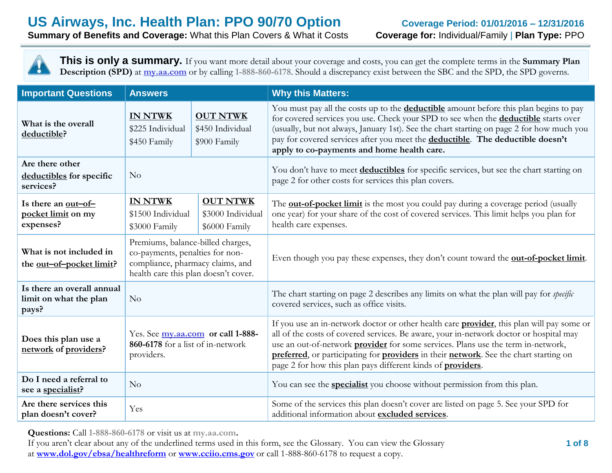**Summary of Benefits and Coverage:** What this Plan Covers & What it Costs **Coverage for:** Individual/Family | **Plan Type:** PPO

**This is only a summary.** If you want more detail about your coverage and costs, you can get the complete terms in the **Summary Plan Description (SPD)** at **my.aa.com** or by calling **1-888-860-6178**. Should a discrepancy exist between the SBC and the SPD, the SPD governs.

| <b>Important Questions</b>                                    | <b>Answers</b>                                                                                                                                   |                                                       | <b>Why this Matters:</b>                                                                                                                                                                                                                                                                                                                                                                                                                               |  |
|---------------------------------------------------------------|--------------------------------------------------------------------------------------------------------------------------------------------------|-------------------------------------------------------|--------------------------------------------------------------------------------------------------------------------------------------------------------------------------------------------------------------------------------------------------------------------------------------------------------------------------------------------------------------------------------------------------------------------------------------------------------|--|
| What is the overall<br>deductible?                            | <b>IN NTWK</b><br><b>OUT NTWK</b><br>\$225 Individual<br>\$450 Individual<br>\$900 Family<br>\$450 Family                                        |                                                       | You must pay all the costs up to the <b>deductible</b> amount before this plan begins to pay<br>for covered services you use. Check your SPD to see when the <b>deductible</b> starts over<br>(usually, but not always, January 1st). See the chart starting on page 2 for how much you<br>pay for covered services after you meet the deductible. The deductible doesn't<br>apply to co-payments and home health care.                                |  |
| Are there other<br>deductibles for specific<br>services?      | No                                                                                                                                               |                                                       | You don't have to meet deductibles for specific services, but see the chart starting on<br>page 2 for other costs for services this plan covers.                                                                                                                                                                                                                                                                                                       |  |
| Is there an <u>out-of-</u><br>pocket limit on my<br>expenses? | <b>IN NTWK</b><br>\$1500 Individual<br>\$3000 Family                                                                                             | <b>OUT NTWK</b><br>\$3000 Individual<br>\$6000 Family | The <b>out-of-pocket limit</b> is the most you could pay during a coverage period (usually<br>one year) for your share of the cost of covered services. This limit helps you plan for<br>health care expenses.                                                                                                                                                                                                                                         |  |
| What is not included in<br>the out-of-pocket limit?           | Premiums, balance-billed charges,<br>co-payments, penalties for non-<br>compliance, pharmacy claims, and<br>health care this plan doesn't cover. |                                                       | Even though you pay these expenses, they don't count toward the <b>out-of-pocket limit</b> .                                                                                                                                                                                                                                                                                                                                                           |  |
| Is there an overall annual<br>limit on what the plan<br>pays? | No                                                                                                                                               |                                                       | The chart starting on page 2 describes any limits on what the plan will pay for <i>specific</i><br>covered services, such as office visits.                                                                                                                                                                                                                                                                                                            |  |
| Does this plan use a<br>network of providers?                 | Yes. See my.aa.com or call 1-888-<br>860-6178 for a list of in-network<br>providers.                                                             |                                                       | If you use an in-network doctor or other health care <b>provider</b> , this plan will pay some or<br>all of the costs of covered services. Be aware, your in-network doctor or hospital may<br>use an out-of-network <b>provider</b> for some services. Plans use the term in-network,<br>preferred, or participating for providers in their network. See the chart starting on<br>page 2 for how this plan pays different kinds of <b>providers</b> . |  |
| Do I need a referral to<br>see a specialist?                  | No                                                                                                                                               |                                                       | You can see the <b>specialist</b> you choose without permission from this plan.                                                                                                                                                                                                                                                                                                                                                                        |  |
| Are there services this<br>plan doesn't cover?                | Yes                                                                                                                                              |                                                       | Some of the services this plan doesn't cover are listed on page 5. See your SPD for<br>additional information about excluded services.                                                                                                                                                                                                                                                                                                                 |  |

**Questions:** Call **1-888-860-6178** or visit us at **my.aa.com.**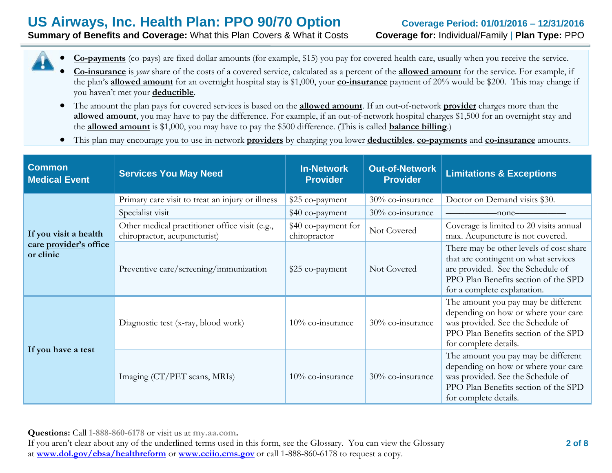**Summary of Benefits and Coverage:** What this Plan Covers & What it Costs **Coverage for:** Individual/Family | **Plan Type:** PPO

- **Co-payments** (co-pays) are fixed dollar amounts (for example, \$15) you pay for covered health care, usually when you receive the service.
- **Co-insurance** is *your* share of the costs of a covered service, calculated as a percent of the **allowed amount** for the service. For example, if the plan's **allowed amount** for an overnight hospital stay is \$1,000, your **co-insurance** payment of 20% would be \$200. This may change if you haven't met your **deductible**.
- The amount the plan pays for covered services is based on the **allowed amount**. If an out-of-network **provider** charges more than the **allowed amount**, you may have to pay the difference. For example, if an out-of-network hospital charges \$1,500 for an overnight stay and the **allowed amount** is \$1,000, you may have to pay the \$500 difference. (This is called **balance billing**.)
- This plan may encourage you to use in-network **providers** by charging you lower **deductibles**, **co-payments** and **co-insurance** amounts.

| <b>Common</b><br><b>Services You May Need</b><br><b>Medical Event</b> |                                                                                | <b>In-Network</b><br><b>Provider</b> | <b>Out-of-Network</b><br><b>Provider</b> | <b>Limitations &amp; Exceptions</b>                                                                                                                                                         |
|-----------------------------------------------------------------------|--------------------------------------------------------------------------------|--------------------------------------|------------------------------------------|---------------------------------------------------------------------------------------------------------------------------------------------------------------------------------------------|
|                                                                       | Primary care visit to treat an injury or illness                               | \$25 co-payment                      | 30% co-insurance                         | Doctor on Demand visits \$30.                                                                                                                                                               |
|                                                                       | Specialist visit                                                               | \$40 co-payment                      | 30% co-insurance                         | -none-                                                                                                                                                                                      |
| If you visit a health                                                 | Other medical practitioner office visit (e.g.,<br>chiropractor, acupuncturist) | \$40 co-payment for<br>chiropractor  | Not Covered                              | Coverage is limited to 20 visits annual<br>max. Acupuncture is not covered.                                                                                                                 |
| care provider's office<br>or clinic                                   | Preventive care/screening/immunization                                         | Not Covered<br>\$25 co-payment       |                                          | There may be other levels of cost share<br>that are contingent on what services<br>are provided. See the Schedule of<br>PPO Plan Benefits section of the SPD<br>for a complete explanation. |
|                                                                       | Diagnostic test (x-ray, blood work)                                            | 10% co-insurance                     | 30% co-insurance                         | The amount you pay may be different<br>depending on how or where your care<br>was provided. See the Schedule of<br>PPO Plan Benefits section of the SPD<br>for complete details.            |
| If you have a test                                                    | Imaging (CT/PET scans, MRIs)                                                   | 10% co-insurance                     | 30% co-insurance                         | The amount you pay may be different<br>depending on how or where your care<br>was provided. See the Schedule of<br>PPO Plan Benefits section of the SPD<br>for complete details.            |

**Questions:** Call **1-888-860-6178** or visit us at **my.aa.com.**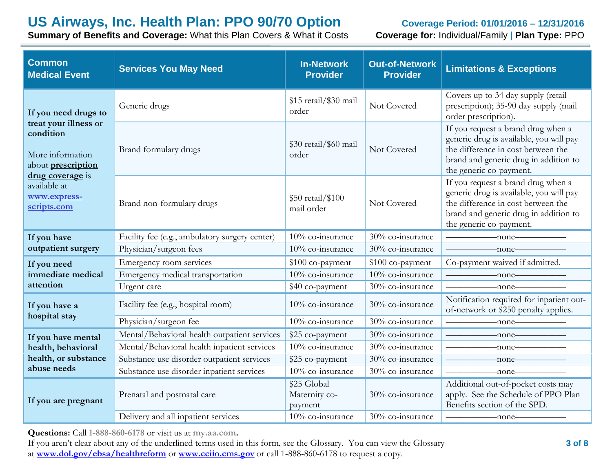**Summary of Benefits and Coverage:** What this Plan Covers & What it Costs **Coverage for:** Individual/Family | **Plan Type:** PPO

| <b>Common</b><br><b>Medical Event</b>                                                            | <b>Services You May Need</b>                   | <b>In-Network</b><br><b>Provider</b>    | <b>Out-of-Network</b><br><b>Provider</b> | <b>Limitations &amp; Exceptions</b>                                                                                                                                                                                                                                                                                             |
|--------------------------------------------------------------------------------------------------|------------------------------------------------|-----------------------------------------|------------------------------------------|---------------------------------------------------------------------------------------------------------------------------------------------------------------------------------------------------------------------------------------------------------------------------------------------------------------------------------|
| If you need drugs to                                                                             | Generic drugs                                  | \$15 retail/\$30 mail<br>order          | Not Covered                              | Covers up to 34 day supply (retail<br>prescription); 35-90 day supply (mail<br>order prescription).                                                                                                                                                                                                                             |
| treat your illness or<br>condition<br>More information<br>about prescription<br>drug coverage is | Brand formulary drugs                          | \$30 retail/\$60 mail<br>order          | Not Covered                              | If you request a brand drug when a<br>generic drug is available, you will pay<br>the difference in cost between the<br>brand and generic drug in addition to<br>the generic co-payment.                                                                                                                                         |
| available at<br>www.express-<br>scripts.com                                                      | Brand non-formulary drugs                      | \$50 retail/\$100<br>mail order         | Not Covered                              | If you request a brand drug when a<br>generic drug is available, you will pay<br>the difference in cost between the<br>brand and generic drug in addition to<br>the generic co-payment.                                                                                                                                         |
| If you have                                                                                      | Facility fee (e.g., ambulatory surgery center) | 10% co-insurance                        | 30% co-insurance                         | $\longrightarrow$ none                                                                                                                                                                                                                                                                                                          |
| outpatient surgery                                                                               | Physician/surgeon fees                         | 10% co-insurance                        | 30% co-insurance                         | $-none$                                                                                                                                                                                                                                                                                                                         |
| If you need                                                                                      | Emergency room services                        | \$100 co-payment                        | \$100 co-payment                         | Co-payment waived if admitted.                                                                                                                                                                                                                                                                                                  |
| immediate medical                                                                                | Emergency medical transportation               | 10% co-insurance                        | 10% co-insurance                         | $-none$                                                                                                                                                                                                                                                                                                                         |
| attention                                                                                        | Urgent care                                    | \$40 co-payment                         | 30% co-insurance                         | $-none$ — $\qquad$ — $\qquad$ — $\qquad$ — $\qquad$ — $\qquad$ — $\qquad$ — $\qquad$ — $\qquad$ — $\qquad$ — $\qquad$ — $\qquad$ — $\qquad$ $\qquad$ $\qquad$ $\qquad$ $\qquad$ $\qquad$ $\qquad$ $\qquad$ $\qquad$ $\qquad$ $\qquad$ $\qquad$ $\qquad$ $\qquad$ $\qquad$ $\qquad$ $\qquad$ $\qquad$ $\qquad$ $\qquad$ $\qquad$ |
| If you have a                                                                                    | Facility fee (e.g., hospital room)             | 10% co-insurance                        | 30% co-insurance                         | Notification required for inpatient out-<br>of-network or \$250 penalty applies.                                                                                                                                                                                                                                                |
| hospital stay                                                                                    | Physician/surgeon fee                          | 10% co-insurance                        | 30% co-insurance                         | $-$ none $-$                                                                                                                                                                                                                                                                                                                    |
| If you have mental                                                                               | Mental/Behavioral health outpatient services   | \$25 co-payment                         | 30% co-insurance                         | $\longrightarrow$ none $\longrightarrow$                                                                                                                                                                                                                                                                                        |
| health, behavioral                                                                               | Mental/Behavioral health inpatient services    | 10% co-insurance                        | 30% co-insurance                         | $-none$ ——                                                                                                                                                                                                                                                                                                                      |
| health, or substance                                                                             | Substance use disorder outpatient services     | \$25 co-payment                         | 30% co-insurance                         | $-$ none $-$                                                                                                                                                                                                                                                                                                                    |
| abuse needs                                                                                      | Substance use disorder inpatient services      | 10% co-insurance                        | 30% co-insurance                         | $-none$                                                                                                                                                                                                                                                                                                                         |
| If you are pregnant                                                                              | Prenatal and postnatal care                    | \$25 Global<br>Maternity co-<br>payment | 30% co-insurance                         | Additional out-of-pocket costs may<br>apply. See the Schedule of PPO Plan<br>Benefits section of the SPD.                                                                                                                                                                                                                       |
|                                                                                                  | Delivery and all inpatient services            | 10% co-insurance                        | 30% co-insurance                         | -none-                                                                                                                                                                                                                                                                                                                          |

**Questions:** Call **1-888-860-6178** or visit us at **my.aa.com.**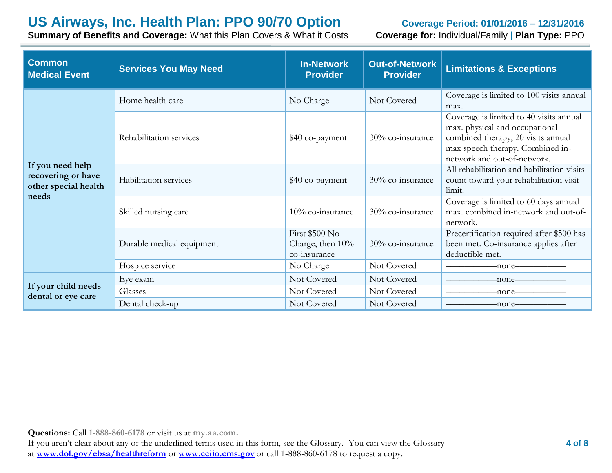**Summary of Benefits and Coverage:** What this Plan Covers & What it Costs **Coverage for:** Individual/Family | **Plan Type:** PPO

| <b>Common</b><br><b>Medical Event</b>                                   | <b>Services You May Need</b> | <b>In-Network</b><br><b>Provider</b>               | <b>Out-of-Network</b><br><b>Provider</b> | <b>Limitations &amp; Exceptions</b>                                                                                                                                                |
|-------------------------------------------------------------------------|------------------------------|----------------------------------------------------|------------------------------------------|------------------------------------------------------------------------------------------------------------------------------------------------------------------------------------|
|                                                                         | Home health care             | No Charge                                          | Not Covered                              | Coverage is limited to 100 visits annual<br>max.                                                                                                                                   |
|                                                                         | Rehabilitation services      | \$40 co-payment                                    | 30% co-insurance                         | Coverage is limited to 40 visits annual<br>max. physical and occupational<br>combined therapy, 20 visits annual<br>max speech therapy. Combined in-<br>network and out-of-network. |
| If you need help<br>recovering or have<br>other special health<br>needs | Habilitation services        | \$40 co-payment                                    | 30% co-insurance                         | All rehabilitation and habilitation visits<br>count toward your rehabilitation visit<br>limit.                                                                                     |
|                                                                         | Skilled nursing care         | $10\%$ co-insurance                                | 30% co-insurance                         | Coverage is limited to 60 days annual<br>max. combined in-network and out-of-<br>network.                                                                                          |
|                                                                         | Durable medical equipment    | First \$500 No<br>Charge, then 10%<br>co-insurance | 30% co-insurance                         | Precertification required after \$500 has<br>been met. Co-insurance applies after<br>deductible met.                                                                               |
|                                                                         | Hospice service              | No Charge                                          | Not Covered                              | -none–                                                                                                                                                                             |
|                                                                         | Eye exam                     | Not Covered                                        | Not Covered                              | -none-                                                                                                                                                                             |
| If your child needs<br>dental or eye care                               | Glasses                      | Not Covered                                        | Not Covered                              | -none-                                                                                                                                                                             |
|                                                                         | Dental check-up              | Not Covered                                        | Not Covered                              | -none-                                                                                                                                                                             |

**Questions:** Call **1-888-860-6178** or visit us at **my.aa.com.**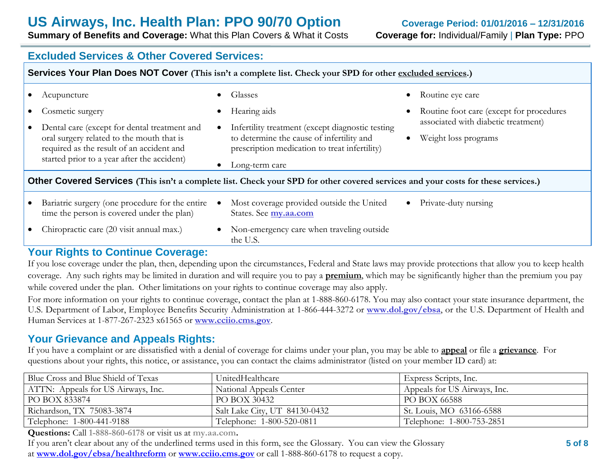**Summary of Benefits and Coverage:** What this Plan Covers & What it Costs **Coverage for:** Individual/Family | **Plan Type:** PPO

### **Excluded Services & Other Covered Services:**

|                                                                                                                                                                                       | Services Your Plan Does NOT Cover (This isn't a complete list. Check your SPD for other excluded services.)                                                      |           |                                                                                                                                                |           |                                                                                 |  |
|---------------------------------------------------------------------------------------------------------------------------------------------------------------------------------------|------------------------------------------------------------------------------------------------------------------------------------------------------------------|-----------|------------------------------------------------------------------------------------------------------------------------------------------------|-----------|---------------------------------------------------------------------------------|--|
|                                                                                                                                                                                       | Acupuncture                                                                                                                                                      | $\bullet$ | Glasses                                                                                                                                        | $\bullet$ | Routine eye care                                                                |  |
|                                                                                                                                                                                       | Cosmetic surgery                                                                                                                                                 | $\bullet$ | Hearing aids                                                                                                                                   |           | Routine foot care (except for procedures<br>associated with diabetic treatment) |  |
| Dental care (except for dental treatment and<br>oral surgery related to the mouth that is<br>required as the result of an accident and<br>started prior to a year after the accident) |                                                                                                                                                                  | $\bullet$ | Infertility treatment (except diagnostic testing<br>to determine the cause of infertility and<br>prescription medication to treat infertility) |           | Weight loss programs<br>$\bullet$                                               |  |
|                                                                                                                                                                                       | Long-term care<br>$\bullet$<br>Other Covered Services (This isn't a complete list. Check your SPD for other covered services and your costs for these services.) |           |                                                                                                                                                |           |                                                                                 |  |
|                                                                                                                                                                                       | Bariatric surgery (one procedure for the entire<br>time the person is covered under the plan)                                                                    |           | Most coverage provided outside the United<br>States. See my.aa.com                                                                             |           | • Private-duty nursing                                                          |  |
|                                                                                                                                                                                       | Chiropractic care (20 visit annual max.)                                                                                                                         | $\bullet$ | Non-emergency care when traveling outside<br>the U.S.                                                                                          |           |                                                                                 |  |

### **Your Rights to Continue Coverage:**

If you lose coverage under the plan, then, depending upon the circumstances, Federal and State laws may provide protections that allow you to keep health coverage. Any such rights may be limited in duration and will require you to pay a **premium**, which may be significantly higher than the premium you pay while covered under the plan. Other limitations on your rights to continue coverage may also apply.

For more information on your rights to continue coverage, contact the plan at 1-888-860-6178. You may also contact your state insurance department, the U.S. Department of Labor, Employee Benefits Security Administration at 1-866-444-3272 or **www.dol.gov/ebsa**, or the U.S. Department of Health and Human Services at 1-877-267-2323 x61565 or **www.cciio.cms.gov**.

### **Your Grievance and Appeals Rights:**

If you have a complaint or are dissatisfied with a denial of coverage for claims under your plan, you may be able to **appeal** or file a **grievance**. For questions about your rights, this notice, or assistance, you can contact the claims administrator (listed on your member ID card) at:

| Blue Cross and Blue Shield of Texas | UnitedHealthcare              | Express Scripts, Inc.        |
|-------------------------------------|-------------------------------|------------------------------|
| ATTN: Appeals for US Airways, Inc.  | National Appeals Center       | Appeals for US Airways, Inc. |
| PO BOX 833874                       | PO BOX 30432                  | PO BOX 66588                 |
| Richardson, TX 75083-3874           | Salt Lake City, UT 84130-0432 | St. Louis, MO 63166-6588     |
| Telephone: 1-800-441-9188           | Telephone: 1-800-520-0811     | Telephone: 1-800-753-2851    |

**Questions:** Call **1-888-860-6178** or visit us at **my.aa.com.**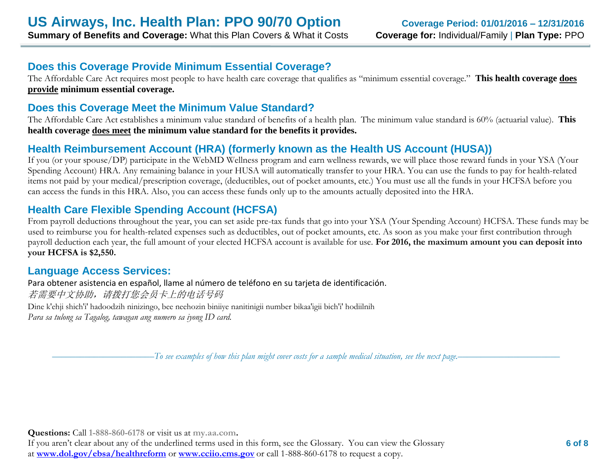## **Does this Coverage Provide Minimum Essential Coverage?**

The Affordable Care Act requires most people to have health care coverage that qualifies as "minimum essential coverage." **This health coverage does provide minimum essential coverage.**

### **Does this Coverage Meet the Minimum Value Standard?**

The Affordable Care Act establishes a minimum value standard of benefits of a health plan. The minimum value standard is 60% (actuarial value). **This health coverage does meet the minimum value standard for the benefits it provides.**

## **Health Reimbursement Account (HRA) (formerly known as the Health US Account (HUSA))**

If you (or your spouse/DP) participate in the WebMD Wellness program and earn wellness rewards, we will place those reward funds in your YSA (Your Spending Account) HRA. Any remaining balance in your HUSA will automatically transfer to your HRA. You can use the funds to pay for health-related items not paid by your medical/prescription coverage, (deductibles, out of pocket amounts, etc.) You must use all the funds in your HCFSA before you can access the funds in this HRA. Also, you can access these funds only up to the amounts actually deposited into the HRA.

### **Health Care Flexible Spending Account (HCFSA)**

From payroll deductions throughout the year, you can set aside pre-tax funds that go into your YSA (Your Spending Account) HCFSA. These funds may be used to reimburse you for health-related expenses such as deductibles, out of pocket amounts, etc. As soon as you make your first contribution through payroll deduction each year, the full amount of your elected HCFSA account is available for use. **For 2016, the maximum amount you can deposit into your HCFSA is \$2,550.** 

### **Language Access Services:**

Para obtener asistencia en español, llame al número de teléfono en su tarjeta de identificación. 若需要中文协助,请拨打您会员卡上的电话号码 Dine k'ehji shich'i' hadoodzih ninizingo, bee neehozin biniiye nanitinigii number bikaa'igii bich'i' hodiilnih

*Para sa tulong sa Tagalog, tawagan ang numero sa iyong ID card.*

––––––––––––––––––––––*To see examples of how this plan might cover costs for a sample medical situation, see the next page.–––––––––––*–––––––––––

**Questions:** Call **1-888-860-6178** or visit us at **my.aa.com.**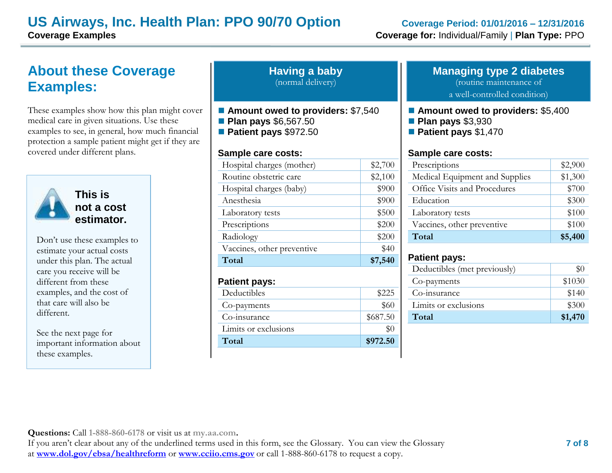## **US Airways, Inc. Health Plan: PPO 90/70 Option Coverage Period: 01/01/2016 – 12/31/2016 Coverage Examples Coverage for:** Individual/Family | **Plan Type:** PPO

# **About these Coverage Examples:**

These examples show how this plan might cover medical care in given situations. Use these examples to see, in general, how much financial protection a sample patient might get if they are covered under different plans.



**This is not a cost estimator.** 

Don't use these examples to estimate your actual costs under this plan. The actual care you receive will be different from these examples, and the cost of that care will also be different.

See the next page for important information about these examples.

| <b>Having a baby</b> |  |
|----------------------|--|
| (normal delivery)    |  |

- Amount owed to providers: \$7,540
- **Plan pays** \$6,567.50
- **Patient pays** \$972.50

#### **Sample care costs:**

| Total                      | \$7,540 |
|----------------------------|---------|
| Vaccines, other preventive | \$40    |
| Radiology                  | \$200   |
| Prescriptions              | \$200   |
| Laboratory tests           | \$500   |
| Anesthesia                 | \$900   |
| Hospital charges (baby)    | \$900   |
| Routine obstetric care     | \$2,100 |
| Hospital charges (mother)  | \$2,700 |
|                            |         |

#### **Patient pays:**

| Deductibles          | \$225    |
|----------------------|----------|
| Co-payments          | \$60     |
| Co-insurance         | \$687.50 |
| Limits or exclusions |          |
| Total                | \$972.50 |

#### **Managing type 2 diabetes** (routine maintenance of

a well-controlled condition)

#### ■ **Amount owed to providers: \$5,400**

- **Plan pays** \$3,930
- **Patient pays** \$1,470

#### **Sample care costs:**

| Prescriptions                  | \$2,900 |
|--------------------------------|---------|
| Medical Equipment and Supplies | \$1,300 |
| Office Visits and Procedures   | \$700   |
| Education                      | \$300   |
| Laboratory tests               | \$100   |
| Vaccines, other preventive     | \$100   |
| Total                          | \$5,400 |

### **Patient pays:**

| Deductibles (met previously) | \$0     |
|------------------------------|---------|
| Co-payments                  | \$1030  |
| Co-insurance                 | \$140   |
| Limits or exclusions         | \$300   |
| Total                        | \$1,470 |

**Questions:** Call **1-888-860-6178** or visit us at **my.aa.com.**